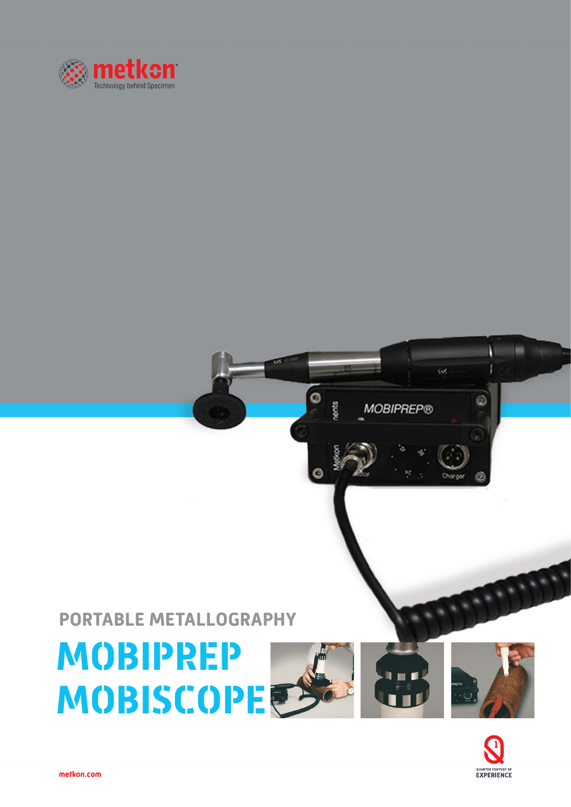

# **MOBIPREP MOBISCOPE**

**PORTABLE METALLOGRAPHY**





 $\omega$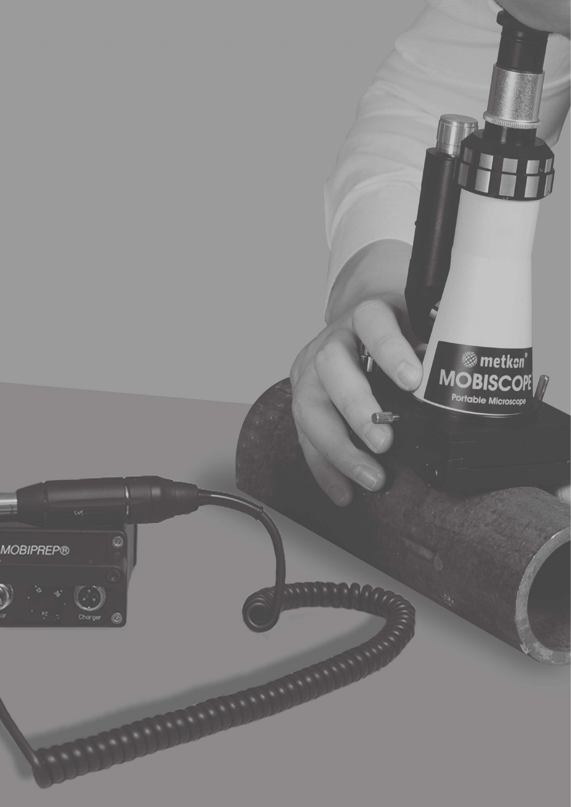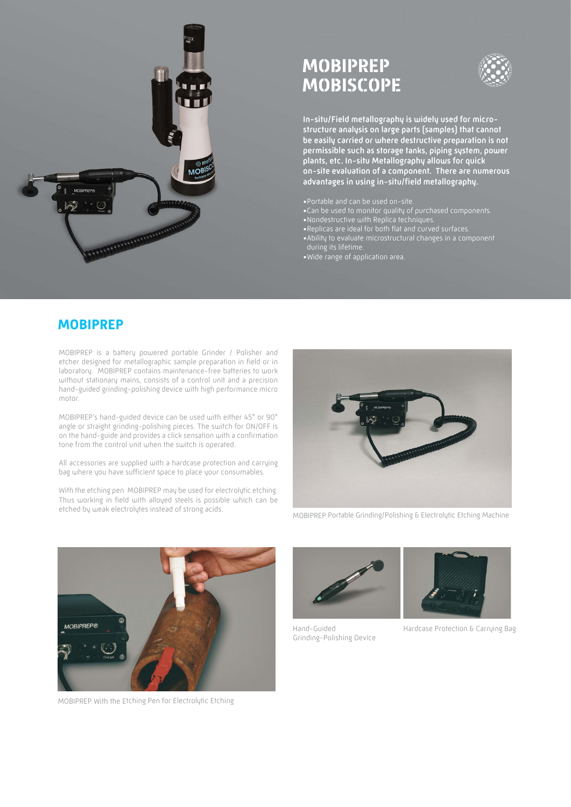

## **MOBIPREP MOBISCOPE**



In-situ/Field metallography is widely used for microstructure analysis on large parts (samples) that cannot be easily carried or where destructive preparation is not permissible such as storage tanks, piping system, power plants, etc. In-situ Metallography allows for quick on-site evaluation of a component. There are numerous advantages in using in-situ/field metallography.

- 
- 
- 
- •Replicas are ideal for both flat and curved surfaces.
- •Ability to evaluate microstructural changes in a component during its lifetime.
- •Wide range of application area.

#### **MOBIPREP**

MOBIPREP is a battery powered portable Grinder / Polisher and etcher designed for metallographic sample preparation in field or in laboratory. MOBIPREP contains maintenance-free batteries to work without stationary mains, consists of a control unit and a precision hand-guided grinding-polishing device with high performance micro motor.

MOBIPREP's hand-guided device can be used with either 45° or 90° angle or straight grinding-polishing pieces. The switch for ON/OFF is on the hand-guide and provides a click sensation with a confirmation tone from the control unit when the switch is operated.

All accessories are supplied with a hardcase protection and carrying bag where you have sufficient space to place your consumables.

With the etching pen MOBIPREP may be used for electrolytic etching. Thus working in field with alloyed steels is possible which can be etched by weak electrolytes instead of strong acids.



MOBIPREP Portable Grinding/Polishing & Electrolytic Etching Machine



MOBIPREP With the Etching Pen for Electrolytic Etching





Hand-Guided Grinding-Polishing Device

Hardcase Protection & Carrying Bag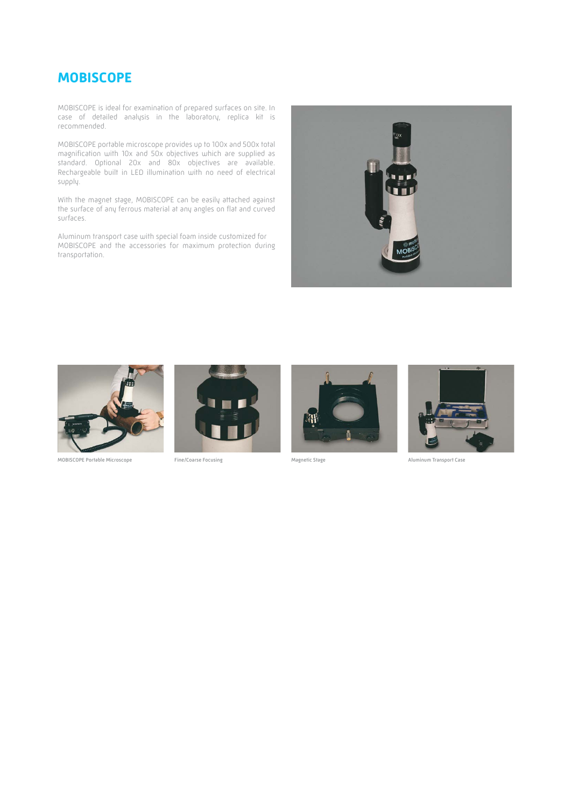#### **MOBISCOPE**

MOBISCOPE is ideal for examination of prepared surfaces on site. In case of detailed analysis in the laboratory, replica kit is recommended.

MOBISCOPE portable microscope provides up to 100x and 500x total magnification with 10x and 50x objectives which are supplied as standard. Optional 20x and 80x objectives are available. Rechargeable built in LED illumination with no need of electrical supply.

With the magnet stage, MOBISCOPE can be easily attached against the surface of any ferrous material at any angles on flat and curved surfaces.

Aluminum transport case with special foam inside customized for MOBISCOPE and the accessories for maximum protection during transportation.





MOBISCOPE Portable Microscope Fine/Coarse Focusing Magnetic Stage Aluminum Transport Case





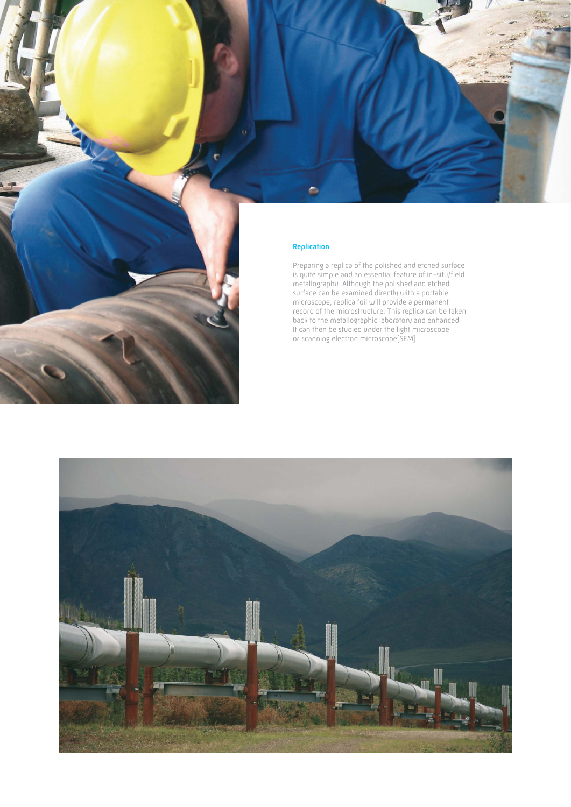

#### Replication

Ò

Preparing a replica of the polished and etched surface is quite simple and an essential feature of in-situ/field metallography. Although the polished and etched surface can be examined directly with a portable microscope, replica foil will provide a permanent record of the microstructure. This replica can be taken back to the metallographic laboratory and enhanced. It can then be studied under the light microscope or scanning electron microscope(SEM).

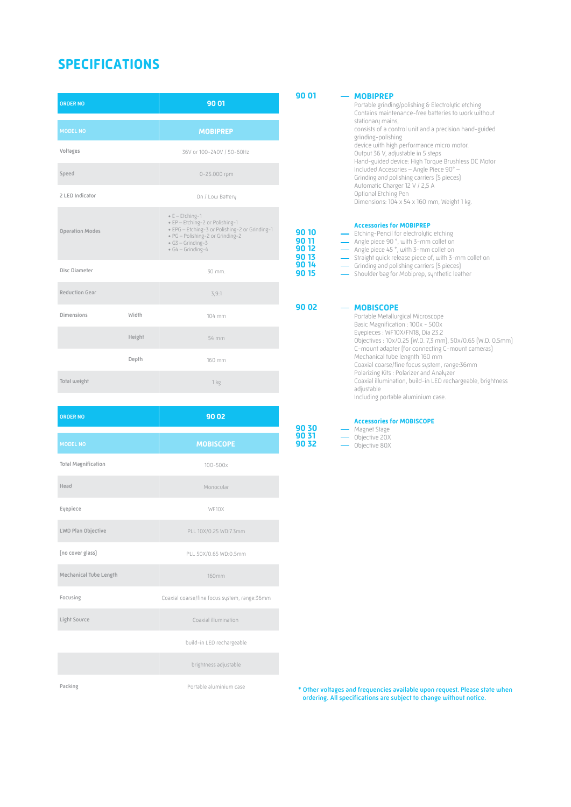### **SPECIFICATIONS**

Eyepiece

LWD Plan Objective

(no cover glass)

Focusing

Light Source

Packing

Mechanical Tube Length

| <b>ORDER NO</b>             |        | 90 01                                                                                                                                                                             | 90 01                          | <b>MOBIPREP</b><br>Portable grinding/polishing & Electrolytic etching<br>Contains maintenance-free batteries to work without<br>stationary mains,<br>consists of a control unit and a precision hand-guided<br>grinding-polishing<br>device with high performance micro motor.<br>Output 36 V, adjustable in 5 steps<br>Hand-guided device: High Torque Brushless DC Motor<br>Included Accesories - Angle Piece 90° -<br>Grinding and polishing carriers (5 pieces)<br>Automatic Charger 12 V / 2,5 A<br>Optional Etching Pen<br>Dimensions: 104 x 54 x 160 mm, Weight 1 kg. |  |
|-----------------------------|--------|-----------------------------------------------------------------------------------------------------------------------------------------------------------------------------------|--------------------------------|------------------------------------------------------------------------------------------------------------------------------------------------------------------------------------------------------------------------------------------------------------------------------------------------------------------------------------------------------------------------------------------------------------------------------------------------------------------------------------------------------------------------------------------------------------------------------|--|
| MODEL NO                    |        | <b>MOBIPREP</b>                                                                                                                                                                   |                                |                                                                                                                                                                                                                                                                                                                                                                                                                                                                                                                                                                              |  |
| Voltages                    |        | 36V or 100-240V / 50-60Hz                                                                                                                                                         |                                |                                                                                                                                                                                                                                                                                                                                                                                                                                                                                                                                                                              |  |
| Speed                       |        | $0 - 25.000$ rpm                                                                                                                                                                  |                                |                                                                                                                                                                                                                                                                                                                                                                                                                                                                                                                                                                              |  |
| 2 LED Indicator             |        | On / Low Battery                                                                                                                                                                  |                                |                                                                                                                                                                                                                                                                                                                                                                                                                                                                                                                                                                              |  |
| <b>Operation Modes</b>      |        | $E = E$ tching-1<br>· EP-Etching-2 or Polishing-1<br>· EPG - Etching-3 or Polishing-2 or Grinding-1<br>· PG - Polishing-2 or Grinding-2<br>$- G3 - Grinding-3$<br>$G4-Grinding-4$ | 90 10<br>90 11<br>9012<br>9013 | <b>Accessories for MOBIPREP</b><br>Etching-Pencil for electrolytic etching<br>- Angle piece 90°, with 3-mm collet on<br>Angle piece 45°, with 3-mm collet on<br>- Straight quick release piece of, with 3-mm collet on                                                                                                                                                                                                                                                                                                                                                       |  |
| Disc Diameter               |        | 30 mm.                                                                                                                                                                            | 90 14<br>90 15                 | Grinding and polishing carriers (5 pieces)<br>- Shoulder bag for Mobiprep, synthetic leather                                                                                                                                                                                                                                                                                                                                                                                                                                                                                 |  |
| <b>Reduction Gear</b>       |        | 3, 9:1                                                                                                                                                                            |                                |                                                                                                                                                                                                                                                                                                                                                                                                                                                                                                                                                                              |  |
| Dimensions                  | Width  | $104 \text{ mm}$                                                                                                                                                                  | 90 02                          | <b>MOBISCOPE</b><br>Portable Metallurgical Microscope<br>Basic Magnification: 100x - 500x                                                                                                                                                                                                                                                                                                                                                                                                                                                                                    |  |
|                             | Height | 54 mm                                                                                                                                                                             |                                | Eyepieces: WF10X/FN18, Dia 23.2<br>Objectives: 10x/0.25 (W.D. 7,3 mm), 50x/0.65 (W.D. 0.5mm)<br>C-mount adapter (for connecting C-mount cameras)                                                                                                                                                                                                                                                                                                                                                                                                                             |  |
|                             | Depth  | 160 mm                                                                                                                                                                            |                                | Mechanical tube lengnth 160 mm<br>Coaxial coarse/fine focus system, range:36mm<br>Polarizing Kits : Polarizer and Analyzer                                                                                                                                                                                                                                                                                                                                                                                                                                                   |  |
| Total weight                |        | 1 kg                                                                                                                                                                              |                                | Coaxial illumination, build-in LED rechargeable, brightness<br>adjustable<br>Including portable aluminium case.                                                                                                                                                                                                                                                                                                                                                                                                                                                              |  |
| <b>ORDER NO</b><br>MODEL NO |        | 90 02                                                                                                                                                                             | 9030<br>9031<br>9032           | <b>Accessories for MOBISCOPE</b><br>Magnet Stage<br>Objective 20X<br>Objective 80X                                                                                                                                                                                                                                                                                                                                                                                                                                                                                           |  |
|                             |        | <b>MOBISCOPE</b>                                                                                                                                                                  |                                |                                                                                                                                                                                                                                                                                                                                                                                                                                                                                                                                                                              |  |
| <b>Total Magnification</b>  |        | $100 - 500x$                                                                                                                                                                      |                                |                                                                                                                                                                                                                                                                                                                                                                                                                                                                                                                                                                              |  |
| Head                        |        | Monocular                                                                                                                                                                         |                                |                                                                                                                                                                                                                                                                                                                                                                                                                                                                                                                                                                              |  |

WF10X

PLL 10X/0.25 WD:7.3mm

PLL 50X/0.65 WD:0.5mm

160mm

Coaxial coarse/fine focus system, range:36mm

Coaxial illumination

build-in LED rechargeable

brightness adjustable

| Portable aluminium case | * Other voltages and frequencies available upon request. Please state when |
|-------------------------|----------------------------------------------------------------------------|
|                         | ordering. All specifications are subject to change without notice.         |